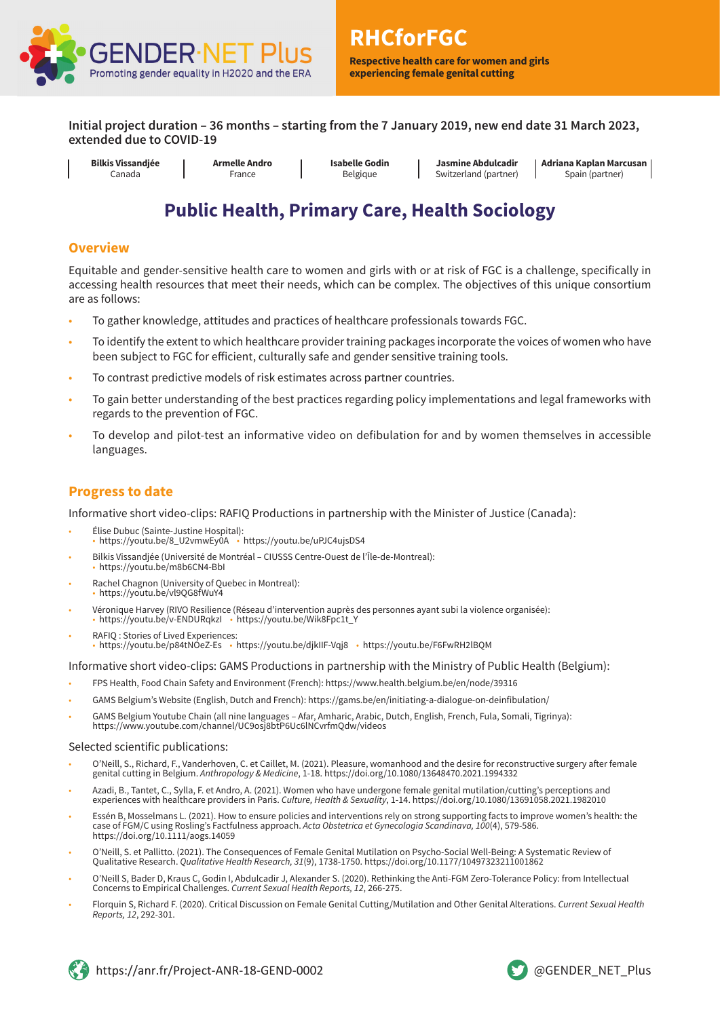

**Respective health care for women and girls experiencing female genital cutting**

**Initial project duration – 36 months – starting from the 7 January 2019, new end date 31 March 2023, extended due to COVID-19**

**Bilkis Vissandjée** Canada

**Armelle Andro** France

**Isabelle Godin** Belgique

**Jasmine Abdulcadir** Switzerland (partner) **Adriana Kaplan Marcusan** Spain (partner)

# **Public Health, Primary Care, Health Sociology**

#### **Overview**

Equitable and gender-sensitive health care to women and girls with or at risk of FGC is a challenge, specifically in accessing health resources that meet their needs, which can be complex. The objectives of this unique consortium are as follows:

- To gather knowledge, attitudes and practices of healthcare professionals towards FGC.
- To identify the extent to which healthcare provider training packages incorporate the voices of women who have been subject to FGC for efficient, culturally safe and gender sensitive training tools.
- To contrast predictive models of risk estimates across partner countries.
- To gain better understanding of the best practices regarding policy implementations and legal frameworks with regards to the prevention of FGC.
- To develop and pilot-test an informative video on defibulation for and by women themselves in accessible languages.

#### **Progress to date**

Informative short video-clips: RAFIQ Productions in partnership with the Minister of Justice (Canada):

- Élise Dubuc (Sainte-Justine Hospital): • https://youtu.be/8\_U2vmwEy0A • https://youtu.be/uPJC4ujsDS4
- Bilkis Vissandjée (Université de Montréal CIUSSS Centre-Ouest de l'Île-de-Montreal): • https://youtu.be/m8b6CN4-BbI
- Rachel Chagnon (University of Quebec in Montreal): • https://youtu.be/vl9QG8fWuY4
- Véronique Harvey (RIVO Resilience (Réseau d'intervention auprès des personnes ayant subi la violence organisée): • https://youtu.be/v-ENDURqkzI • https://youtu.be/Wik8Fpc1t\_Y
- RAFIQ : Stories of Lived Experiences: https://youtu.be/p84tNOeZ-Es https://youtu.be/djkIIF-Vqj8 https://youtu.be/F6FwRH2lBQM

Informative short video-clips: GAMS Productions in partnership with the Ministry of Public Health (Belgium):

- FPS Health, Food Chain Safety and Environment (French): https://www.health.belgium.be/en/node/39316
- GAMS Belgium's Website (English, Dutch and French): https://gams.be/en/initiating-a-dialogue-on-deinfibulation/
- GAMS Belgium Youtube Chain (all nine languages Afar, Amharic, Arabic, Dutch, English, French, Fula, Somali, Tigrinya): https://www.youtube.com/channel/UC9osj8btP6Uc6lNCvrfmQdw/videos

Selected scientific publications:

- O'Neill, S., Richard, F., Vanderhoven, C. et Caillet, M. (2021). Pleasure, womanhood and the desire for reconstructive surgery after female genital cutting in Belgium. Anthropology & Medicine, 1-18. https://doi.org/10.1080/13648470.2021.1994332
- Azadi, B., Tantet, C., Sylla, F. et Andro, A. (2021). Women who have undergone female genital mutilation/cutting's perceptions and experiences with healthcare providers in Paris. Culture, Health & Sexuality, 1-14. https://doi.org/10.1080/13691058.2021.1982010
- Essén B, Mosselmans L. (2021). How to ensure policies and interventions rely on strong supporting facts to improve women's health: the case of FGM/C using Rosling's Factfulness approach. Acta Obstetrica et Gynecologia Scandinava, 100(4), 579-586. https://doi.org/10.1111/aogs.14059
- O'Neill, S. et Pallitto. (2021). The Consequences of Female Genital Mutilation on Psycho-Social Well-Being: A Systematic Review of Qualitative Research. Qualitative Health Research, 31(9), 1738-1750. https://doi.org/10.1177/10497323211001862
- O'Neill S, Bader D, Kraus C, Godin I, Abdulcadir J, Alexander S. (2020). Rethinking the Anti-FGM Zero-Tolerance Policy: from Intellectual Concerns to Empirical Challenges. Current Sexual Health Reports, 12, 266-275.
- Florquin S, Richard F. (2020). Critical Discussion on Female Genital Cutting/Mutilation and Other Genital Alterations. Current Sexual Health Reports, 12, 292-301.